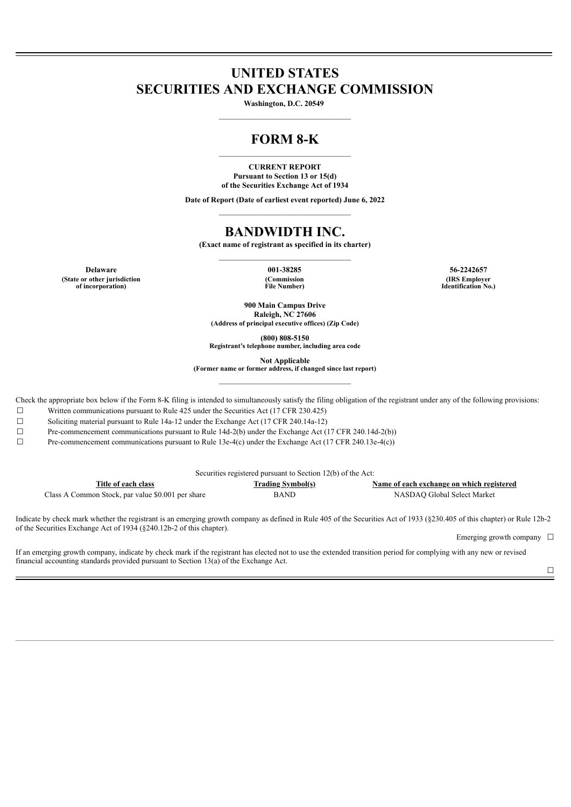# **UNITED STATES SECURITIES AND EXCHANGE COMMISSION**

**Washington, D.C. 20549 \_\_\_\_\_\_\_\_\_\_\_\_\_\_\_\_\_\_\_\_\_\_\_\_\_\_\_\_\_\_\_\_\_\_\_\_\_\_\_\_\_\_\_\_\_\_\_\_\_\_\_**

## **FORM 8-K**  $\mathcal{L} = \{ \mathcal{L} \mathcal{L} \mathcal{L} \mathcal{L} \mathcal{L} \mathcal{L} \mathcal{L} \mathcal{L} \mathcal{L} \mathcal{L} \mathcal{L} \mathcal{L} \mathcal{L} \mathcal{L} \mathcal{L} \mathcal{L} \mathcal{L} \mathcal{L} \mathcal{L} \mathcal{L} \mathcal{L} \mathcal{L} \mathcal{L} \mathcal{L} \mathcal{L} \mathcal{L} \mathcal{L} \mathcal{L} \mathcal{L} \mathcal{L} \mathcal{L} \mathcal{L} \mathcal{L} \mathcal{L} \mathcal{L} \$

**CURRENT REPORT Pursuant to Section 13 or 15(d) of the Securities Exchange Act of 1934**

**Date of Report (Date of earliest event reported) June 6, 2022**  $\mathcal{L} = \{ \mathcal{L} \mathcal{L} \mathcal{L} \mathcal{L} \mathcal{L} \mathcal{L} \mathcal{L} \mathcal{L} \mathcal{L} \mathcal{L} \mathcal{L} \mathcal{L} \mathcal{L} \mathcal{L} \mathcal{L} \mathcal{L} \mathcal{L} \mathcal{L} \mathcal{L} \mathcal{L} \mathcal{L} \mathcal{L} \mathcal{L} \mathcal{L} \mathcal{L} \mathcal{L} \mathcal{L} \mathcal{L} \mathcal{L} \mathcal{L} \mathcal{L} \mathcal{L} \mathcal{L} \mathcal{L} \mathcal{L} \$ 

# **BANDWIDTH INC.**

**(Exact name of registrant as specified in its charter)**  $\mathcal{L} = \{ \mathcal{L} \mathcal{L} \mathcal{L} \mathcal{L} \mathcal{L} \mathcal{L} \mathcal{L} \mathcal{L} \mathcal{L} \mathcal{L} \mathcal{L} \mathcal{L} \mathcal{L} \mathcal{L} \mathcal{L} \mathcal{L} \mathcal{L} \mathcal{L} \mathcal{L} \mathcal{L} \mathcal{L} \mathcal{L} \mathcal{L} \mathcal{L} \mathcal{L} \mathcal{L} \mathcal{L} \mathcal{L} \mathcal{L} \mathcal{L} \mathcal{L} \mathcal{L} \mathcal{L} \mathcal{L} \mathcal{L} \$ 

**Delaware 001-38285 56-2242657 (State or other jurisdiction of incorporation)**

**(Commission File Number)**

**(IRS Employer Identification No.)**

**900 Main Campus Drive Raleigh, NC 27606 (Address of principal executive offices) (Zip Code)**

**(800) 808-5150**

**Registrant's telephone number, including area code**

**Not Applicable**

**(Former name or former address, if changed since last report)**  $\mathcal{L} = \{ \mathcal{L} \mathcal{L} \mathcal{L} \mathcal{L} \mathcal{L} \mathcal{L} \mathcal{L} \mathcal{L} \mathcal{L} \mathcal{L} \mathcal{L} \mathcal{L} \mathcal{L} \mathcal{L} \mathcal{L} \mathcal{L} \mathcal{L} \mathcal{L} \mathcal{L} \mathcal{L} \mathcal{L} \mathcal{L} \mathcal{L} \mathcal{L} \mathcal{L} \mathcal{L} \mathcal{L} \mathcal{L} \mathcal{L} \mathcal{L} \mathcal{L} \mathcal{L} \mathcal{L} \mathcal{L} \mathcal{L} \$ 

Check the appropriate box below if the Form 8-K filing is intended to simultaneously satisfy the filing obligation of the registrant under any of the following provisions:

☐ Written communications pursuant to Rule 425 under the Securities Act (17 CFR 230.425)

☐ Soliciting material pursuant to Rule 14a-12 under the Exchange Act (17 CFR 240.14a-12)

☐ Pre-commencement communications pursuant to Rule 14d-2(b) under the Exchange Act (17 CFR 240.14d-2(b))

☐ Pre-commencement communications pursuant to Rule 13e-4(c) under the Exchange Act (17 CFR 240.13e-4(c))

| Securities registered pursuant to Section 12(b) of the Act: |                          |                                           |
|-------------------------------------------------------------|--------------------------|-------------------------------------------|
| Title of each class                                         | <u>Trading Symbol(s)</u> | Name of each exchange on which registered |
| Class A Common Stock, par value \$0.001 per share           | <b>BAND</b>              | NASDAO Global Select Market               |

Indicate by check mark whether the registrant is an emerging growth company as defined in Rule 405 of the Securities Act of 1933 (§230.405 of this chapter) or Rule 12b-2 of the Securities Exchange Act of 1934 (§240.12b-2 of this chapter).

Emerging growth company  $\Box$ 

If an emerging growth company, indicate by check mark if the registrant has elected not to use the extended transition period for complying with any new or revised financial accounting standards provided pursuant to Section 13(a) of the Exchange Act.

 $\Box$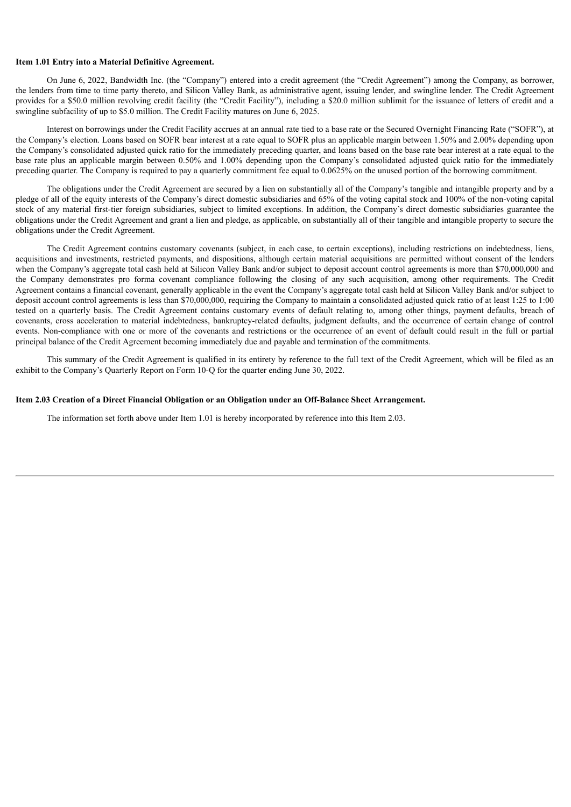#### **Item 1.01 Entry into a Material Definitive Agreement.**

On June 6, 2022, Bandwidth Inc. (the "Company") entered into a credit agreement (the "Credit Agreement") among the Company, as borrower, the lenders from time to time party thereto, and Silicon Valley Bank, as administrative agent, issuing lender, and swingline lender. The Credit Agreement provides for a \$50.0 million revolving credit facility (the "Credit Facility"), including a \$20.0 million sublimit for the issuance of letters of credit and a swingline subfacility of up to \$5.0 million. The Credit Facility matures on June 6, 2025.

Interest on borrowings under the Credit Facility accrues at an annual rate tied to a base rate or the Secured Overnight Financing Rate ("SOFR"), at the Company's election. Loans based on SOFR bear interest at a rate equal to SOFR plus an applicable margin between 1.50% and 2.00% depending upon the Company's consolidated adjusted quick ratio for the immediately preceding quarter, and loans based on the base rate bear interest at a rate equal to the base rate plus an applicable margin between 0.50% and 1.00% depending upon the Company's consolidated adjusted quick ratio for the immediately preceding quarter. The Company is required to pay a quarterly commitment fee equal to 0.0625% on the unused portion of the borrowing commitment.

The obligations under the Credit Agreement are secured by a lien on substantially all of the Company's tangible and intangible property and by a pledge of all of the equity interests of the Company's direct domestic subsidiaries and 65% of the voting capital stock and 100% of the non-voting capital stock of any material first-tier foreign subsidiaries, subject to limited exceptions. In addition, the Company's direct domestic subsidiaries guarantee the obligations under the Credit Agreement and grant a lien and pledge, as applicable, on substantially all of their tangible and intangible property to secure the obligations under the Credit Agreement.

The Credit Agreement contains customary covenants (subject, in each case, to certain exceptions), including restrictions on indebtedness, liens, acquisitions and investments, restricted payments, and dispositions, although certain material acquisitions are permitted without consent of the lenders when the Company's aggregate total cash held at Silicon Valley Bank and/or subject to deposit account control agreements is more than \$70,000,000 and the Company demonstrates pro forma covenant compliance following the closing of any such acquisition, among other requirements. The Credit Agreement contains a financial covenant, generally applicable in the event the Company's aggregate total cash held at Silicon Valley Bank and/or subject to deposit account control agreements is less than \$70,000,000, requiring the Company to maintain a consolidated adjusted quick ratio of at least 1:25 to 1:00 tested on a quarterly basis. The Credit Agreement contains customary events of default relating to, among other things, payment defaults, breach of covenants, cross acceleration to material indebtedness, bankruptcy-related defaults, judgment defaults, and the occurrence of certain change of control events. Non-compliance with one or more of the covenants and restrictions or the occurrence of an event of default could result in the full or partial principal balance of the Credit Agreement becoming immediately due and payable and termination of the commitments.

This summary of the Credit Agreement is qualified in its entirety by reference to the full text of the Credit Agreement, which will be filed as an exhibit to the Company's Quarterly Report on Form 10-Q for the quarter ending June 30, 2022.

#### **Item 2.03 Creation of a Direct Financial Obligation or an Obligation under an Off-Balance Sheet Arrangement.**

The information set forth above under Item 1.01 is hereby incorporated by reference into this Item 2.03.